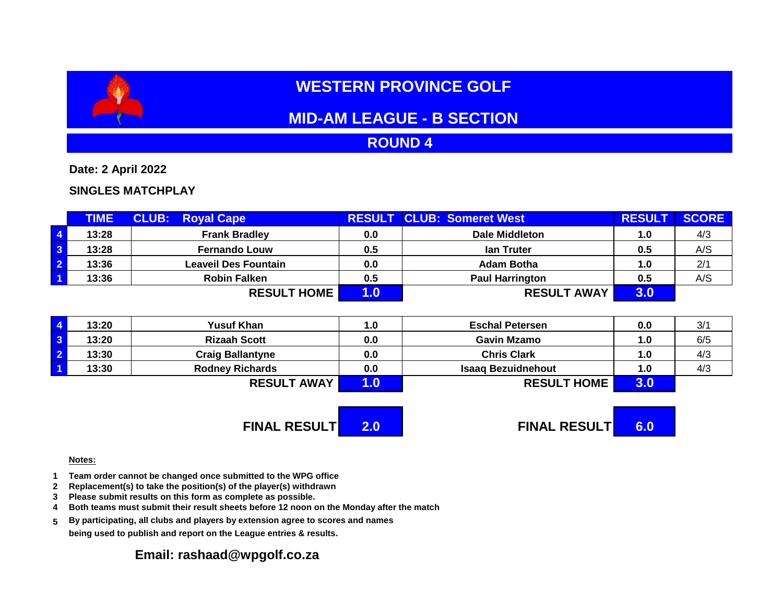# **WESTERN PROVINCE GOLF**

## **MID-AM LEAGUE - B SECTION**

### **ROUND 4**

**Date: 2 April 2022**

#### **SINGLES MATCHPLAY**

|                         | <b>TIME</b> | <b>CLUB: Royal Cape</b> |     | <b>RESULT CLUB: Someret West</b> | <b>RESULT</b> | <b>SCORE</b> |
|-------------------------|-------------|-------------------------|-----|----------------------------------|---------------|--------------|
| $\overline{4}$          | 13:28       | <b>Frank Bradley</b>    | 0.0 | Dale Middleton                   | 1.0           | 4/3          |
| $\overline{\mathbf{3}}$ | 13:28       | <b>Fernando Louw</b>    | 0.5 | lan Truter                       | 0.5           | A/S          |
| $\overline{2}$          | 13:36       | Leaveil Des Fountain    | 0.0 | <b>Adam Botha</b>                | 1.0           | 2/1          |
| $\overline{1}$          | 13:36       | <b>Robin Falken</b>     | 0.5 | <b>Paul Harrington</b>           | 0.5           | A/S          |
|                         |             | <b>RESULT HOME</b>      |     | <b>RESULT AWAY</b>               | 3.0           |              |

| 13:20 | <b>Yusuf Khan</b>       | 1.0 | <b>Eschal Petersen</b>    | 0.0 | 3/1 |
|-------|-------------------------|-----|---------------------------|-----|-----|
| 13:20 | <b>Rizaah Scott</b>     | 0.0 | <b>Gavin Mzamo</b>        | 1.0 | 6/5 |
| 13:30 | <b>Craig Ballantyne</b> | 0.0 | <b>Chris Clark</b>        | 1.0 | 4/3 |
| 13:30 | <b>Rodney Richards</b>  | 0.0 | <b>Isaaq Bezuidnehout</b> | 1.0 | 4/3 |
|       | <b>RESULT AWAY</b>      |     | <b>RESULT HOME</b>        | J.U |     |

**FINAL RESULT 2.0 FINAL RESULT 6.0**

#### **Notes:**

- **1 Team order cannot be changed once submitted to the WPG office**
- **2 Replacement(s) to take the position(s) of the player(s) withdrawn**
- **3 Please submit results on this form as complete as possible.**
- **4 Both teams must submit their result sheets before 12 noon on the Monday after the match**
- **5 By participating, all clubs and players by extension agree to scores and names being used to publish and report on the League entries & results.**

#### **Email: rashaad@wpgolf.co.za**